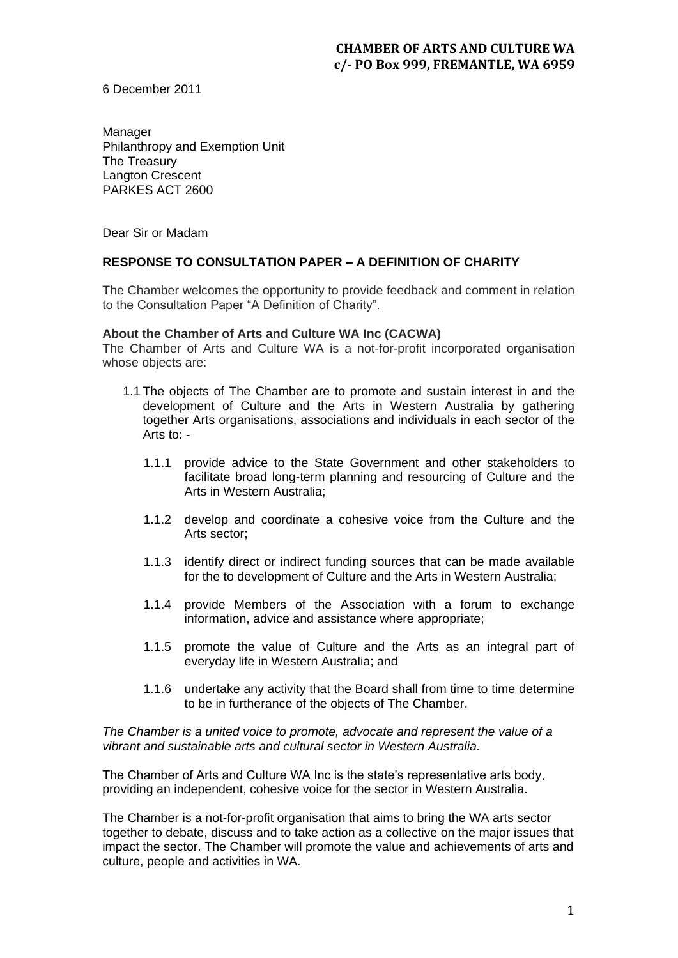6 December 2011

Manager Philanthropy and Exemption Unit The Treasury Langton Crescent PARKES ACT 2600

Dear Sir or Madam

## **RESPONSE TO CONSULTATION PAPER – A DEFINITION OF CHARITY**

The Chamber welcomes the opportunity to provide feedback and comment in relation to the Consultation Paper "A Definition of Charity".

#### **About the Chamber of Arts and Culture WA Inc (CACWA)**

The Chamber of Arts and Culture WA is a not-for-profit incorporated organisation whose objects are:

- 1.1 The objects of The Chamber are to promote and sustain interest in and the development of Culture and the Arts in Western Australia by gathering together Arts organisations, associations and individuals in each sector of the Arts to: -
	- 1.1.1 provide advice to the State Government and other stakeholders to facilitate broad long-term planning and resourcing of Culture and the Arts in Western Australia;
	- 1.1.2 develop and coordinate a cohesive voice from the Culture and the Arts sector;
	- 1.1.3 identify direct or indirect funding sources that can be made available for the to development of Culture and the Arts in Western Australia;
	- 1.1.4 provide Members of the Association with a forum to exchange information, advice and assistance where appropriate;
	- 1.1.5 promote the value of Culture and the Arts as an integral part of everyday life in Western Australia; and
	- 1.1.6 undertake any activity that the Board shall from time to time determine to be in furtherance of the objects of The Chamber.

*The Chamber is a united voice to promote, advocate and represent the value of a vibrant and sustainable arts and cultural sector in Western Australia.*

The Chamber of Arts and Culture WA Inc is the state's representative arts body, providing an independent, cohesive voice for the sector in Western Australia.

The Chamber is a not-for-profit organisation that aims to bring the WA arts sector together to debate, discuss and to take action as a collective on the major issues that impact the sector. The Chamber will promote the value and achievements of arts and culture, people and activities in WA.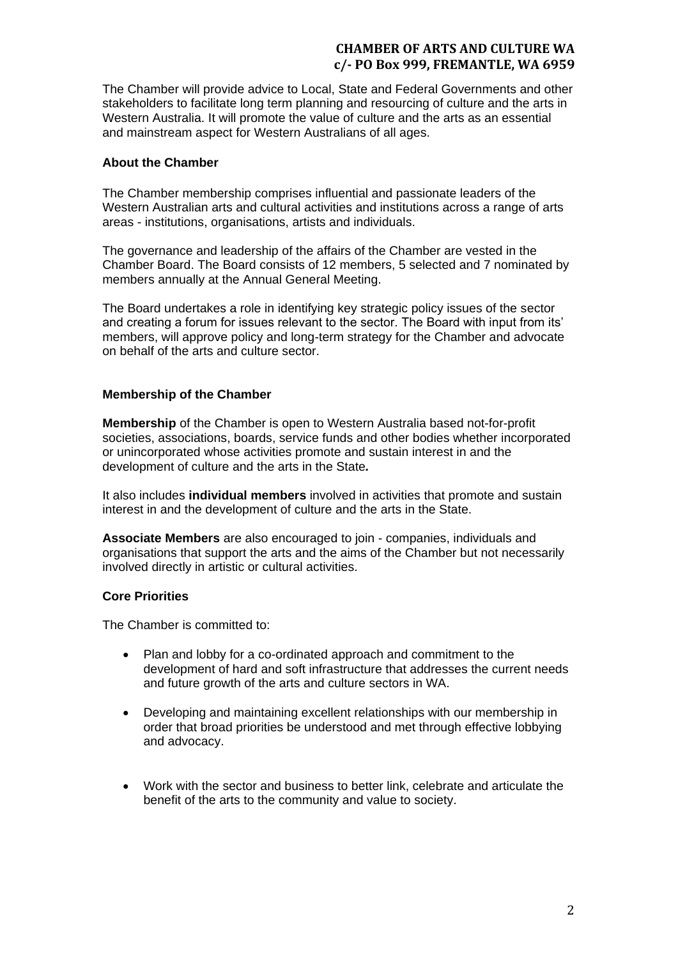The Chamber will provide advice to Local, State and Federal Governments and other stakeholders to facilitate long term planning and resourcing of culture and the arts in Western Australia. It will promote the value of culture and the arts as an essential and mainstream aspect for Western Australians of all ages.

#### **About the Chamber**

The Chamber membership comprises influential and passionate leaders of the Western Australian arts and cultural activities and institutions across a range of arts areas - institutions, organisations, artists and individuals.

The governance and leadership of the affairs of the Chamber are vested in the Chamber Board. The Board consists of 12 members, 5 selected and 7 nominated by members annually at the Annual General Meeting.

The Board undertakes a role in identifying key strategic policy issues of the sector and creating a forum for issues relevant to the sector. The Board with input from its' members, will approve policy and long-term strategy for the Chamber and advocate on behalf of the arts and culture sector.

### **Membership of the Chamber**

**Membership** of the Chamber is open to Western Australia based not-for-profit societies, associations, boards, service funds and other bodies whether incorporated or unincorporated whose activities promote and sustain interest in and the development of culture and the arts in the State*.* 

It also includes **individual members** involved in activities that promote and sustain interest in and the development of culture and the arts in the State.

**Associate Members** are also encouraged to join - companies, individuals and organisations that support the arts and the aims of the Chamber but not necessarily involved directly in artistic or cultural activities.

### **Core Priorities**

The Chamber is committed to:

- Plan and lobby for a co-ordinated approach and commitment to the development of hard and soft infrastructure that addresses the current needs and future growth of the arts and culture sectors in WA.
- Developing and maintaining excellent relationships with our membership in order that broad priorities be understood and met through effective lobbying and advocacy.
- Work with the sector and business to better link, celebrate and articulate the benefit of the arts to the community and value to society.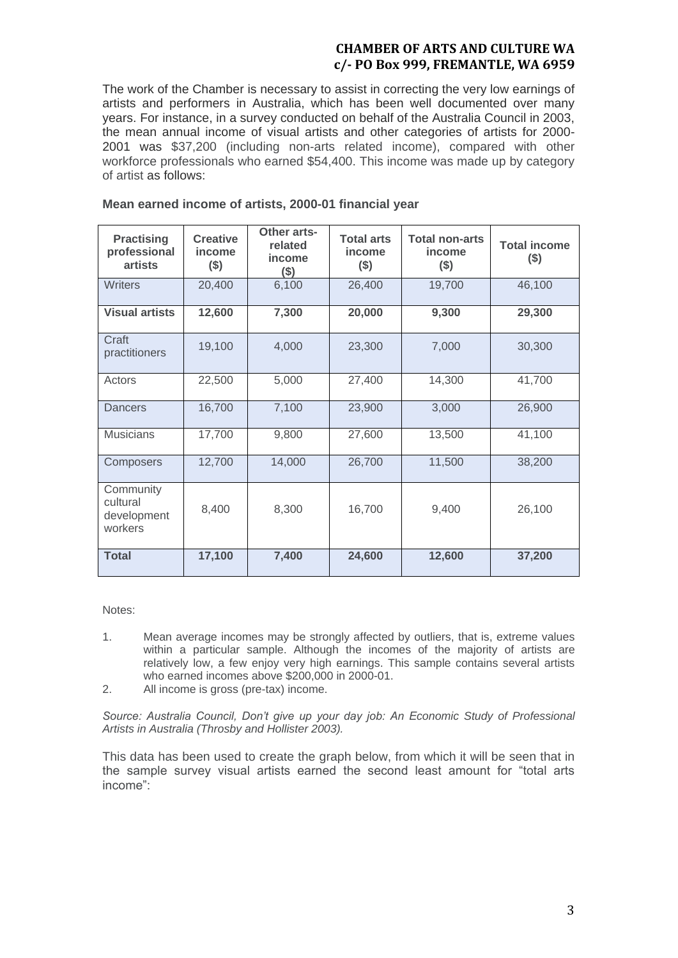The work of the Chamber is necessary to assist in correcting the very low earnings of artists and performers in Australia, which has been well documented over many years. For instance, in a survey conducted on behalf of the Australia Council in 2003, the mean annual income of visual artists and other categories of artists for 2000- 2001 was \$37,200 (including non-arts related income), compared with other workforce professionals who earned \$54,400. This income was made up by category of artist as follows:

| <b>Practising</b><br>professional<br><b>artists</b> | <b>Creative</b><br>income<br>$($ \$) | Other arts-<br>related<br>income<br>$($ \$) | <b>Total arts</b><br>income<br>$($ \$) | <b>Total non-arts</b><br>income<br>$($ \$) | <b>Total income</b><br>$($ \$) |
|-----------------------------------------------------|--------------------------------------|---------------------------------------------|----------------------------------------|--------------------------------------------|--------------------------------|
| <b>Writers</b>                                      | 20,400                               | 6,100                                       | 26,400                                 | 19,700                                     | 46,100                         |
| <b>Visual artists</b>                               | 12,600                               | 7,300                                       | 20,000                                 | 9,300                                      | 29,300                         |
| Craft<br>practitioners                              | 19,100                               | 4,000                                       | 23,300                                 | 7,000                                      | 30,300                         |
| Actors                                              | 22,500                               | 5,000                                       | 27,400                                 | 14,300                                     | 41,700                         |
| Dancers                                             | 16,700                               | 7,100                                       | 23,900                                 | 3,000                                      | 26,900                         |
| <b>Musicians</b>                                    | 17,700                               | 9,800                                       | 27,600                                 | 13,500                                     | 41,100                         |
| Composers                                           | 12,700                               | 14,000                                      | 26,700                                 | 11,500                                     | 38,200                         |
| Community<br>cultural<br>development<br>workers     | 8,400                                | 8,300                                       | 16,700                                 | 9,400                                      | 26,100                         |
| <b>Total</b>                                        | 17,100                               | 7,400                                       | 24,600                                 | 12,600                                     | 37,200                         |

#### **Mean earned income of artists, 2000-01 financial year**

Notes:

- 1. Mean average incomes may be strongly affected by outliers, that is, extreme values within a particular sample. Although the incomes of the majority of artists are relatively low, a few enjoy very high earnings. This sample contains several artists who earned incomes above \$200,000 in 2000-01.
- 2. All income is gross (pre-tax) income.

*Source: Australia Council, Don't give up your day job: An Economic Study of Professional Artists in Australia (Throsby and Hollister 2003).*

This data has been used to create the graph below, from which it will be seen that in the sample survey visual artists earned the second least amount for "total arts income":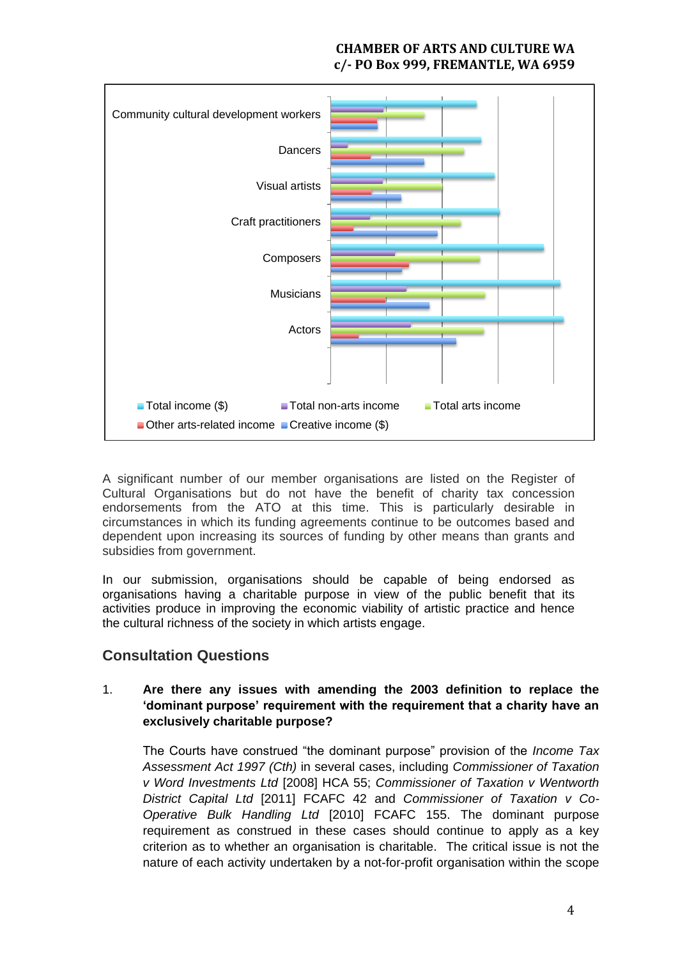

A significant number of our member organisations are listed on the Register of Cultural Organisations but do not have the benefit of charity tax concession endorsements from the ATO at this time. This is particularly desirable in circumstances in which its funding agreements continue to be outcomes based and dependent upon increasing its sources of funding by other means than grants and subsidies from government.

In our submission, organisations should be capable of being endorsed as organisations having a charitable purpose in view of the public benefit that its activities produce in improving the economic viability of artistic practice and hence the cultural richness of the society in which artists engage.

# **Consultation Questions**

# 1. **Are there any issues with amending the 2003 definition to replace the 'dominant purpose' requirement with the requirement that a charity have an exclusively charitable purpose?**

The Courts have construed "the dominant purpose" provision of the *Income Tax Assessment Act 1997 (Cth)* in several cases, including *Commissioner of Taxation v Word Investments Ltd* [2008] HCA 55; *Commissioner of Taxation v Wentworth District Capital Ltd* [2011] FCAFC 42 and *Commissioner of Taxation v Co-Operative Bulk Handling Ltd* [2010] FCAFC 155. The dominant purpose requirement as construed in these cases should continue to apply as a key criterion as to whether an organisation is charitable. The critical issue is not the nature of each activity undertaken by a not-for-profit organisation within the scope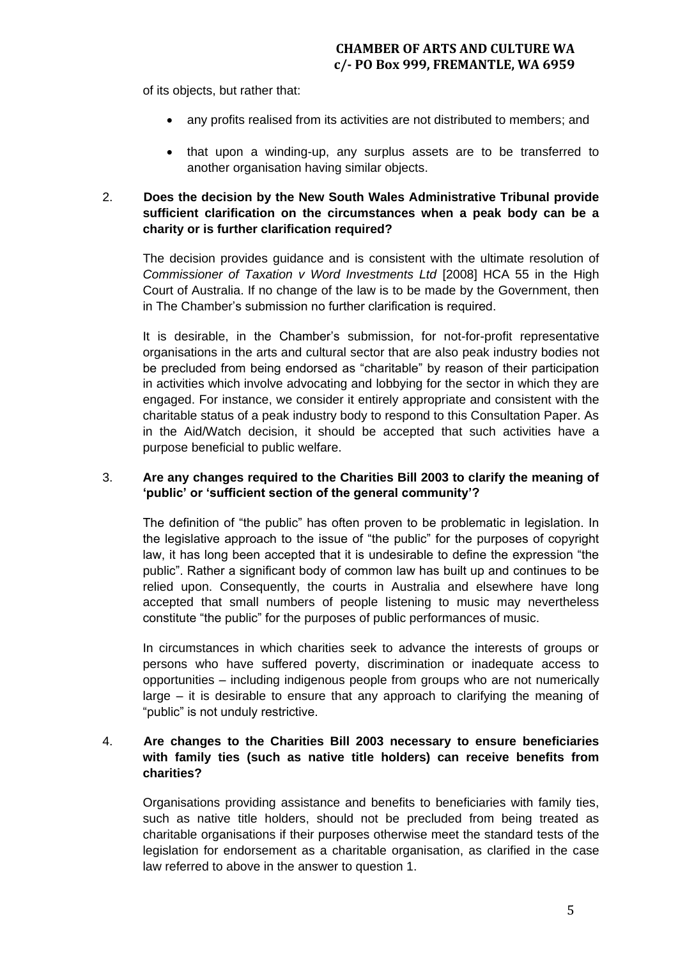of its objects, but rather that:

- any profits realised from its activities are not distributed to members; and
- that upon a winding-up, any surplus assets are to be transferred to another organisation having similar objects.

# 2. **Does the decision by the New South Wales Administrative Tribunal provide sufficient clarification on the circumstances when a peak body can be a charity or is further clarification required?**

The decision provides guidance and is consistent with the ultimate resolution of *Commissioner of Taxation v Word Investments Ltd* [2008] HCA 55 in the High Court of Australia. If no change of the law is to be made by the Government, then in The Chamber's submission no further clarification is required.

It is desirable, in the Chamber's submission, for not-for-profit representative organisations in the arts and cultural sector that are also peak industry bodies not be precluded from being endorsed as "charitable" by reason of their participation in activities which involve advocating and lobbying for the sector in which they are engaged. For instance, we consider it entirely appropriate and consistent with the charitable status of a peak industry body to respond to this Consultation Paper. As in the Aid/Watch decision, it should be accepted that such activities have a purpose beneficial to public welfare.

## 3. **Are any changes required to the Charities Bill 2003 to clarify the meaning of 'public' or 'sufficient section of the general community'?**

The definition of "the public" has often proven to be problematic in legislation. In the legislative approach to the issue of "the public" for the purposes of copyright law, it has long been accepted that it is undesirable to define the expression "the public". Rather a significant body of common law has built up and continues to be relied upon. Consequently, the courts in Australia and elsewhere have long accepted that small numbers of people listening to music may nevertheless constitute "the public" for the purposes of public performances of music.

In circumstances in which charities seek to advance the interests of groups or persons who have suffered poverty, discrimination or inadequate access to opportunities – including indigenous people from groups who are not numerically large – it is desirable to ensure that any approach to clarifying the meaning of "public" is not unduly restrictive.

# 4. **Are changes to the Charities Bill 2003 necessary to ensure beneficiaries with family ties (such as native title holders) can receive benefits from charities?**

Organisations providing assistance and benefits to beneficiaries with family ties, such as native title holders, should not be precluded from being treated as charitable organisations if their purposes otherwise meet the standard tests of the legislation for endorsement as a charitable organisation, as clarified in the case law referred to above in the answer to question 1.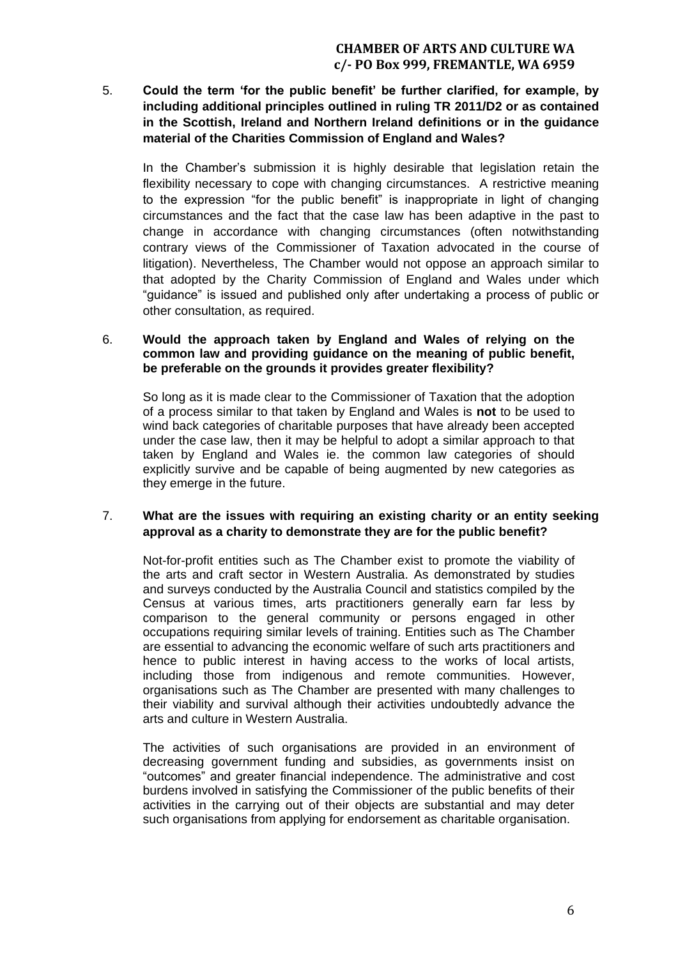5. **Could the term 'for the public benefit' be further clarified, for example, by including additional principles outlined in ruling TR 2011/D2 or as contained in the Scottish, Ireland and Northern Ireland definitions or in the guidance material of the Charities Commission of England and Wales?**

In the Chamber's submission it is highly desirable that legislation retain the flexibility necessary to cope with changing circumstances. A restrictive meaning to the expression "for the public benefit" is inappropriate in light of changing circumstances and the fact that the case law has been adaptive in the past to change in accordance with changing circumstances (often notwithstanding contrary views of the Commissioner of Taxation advocated in the course of litigation). Nevertheless, The Chamber would not oppose an approach similar to that adopted by the Charity Commission of England and Wales under which "guidance" is issued and published only after undertaking a process of public or other consultation, as required.

#### 6. **Would the approach taken by England and Wales of relying on the common law and providing guidance on the meaning of public benefit, be preferable on the grounds it provides greater flexibility?**

So long as it is made clear to the Commissioner of Taxation that the adoption of a process similar to that taken by England and Wales is **not** to be used to wind back categories of charitable purposes that have already been accepted under the case law, then it may be helpful to adopt a similar approach to that taken by England and Wales ie. the common law categories of should explicitly survive and be capable of being augmented by new categories as they emerge in the future.

### 7. **What are the issues with requiring an existing charity or an entity seeking approval as a charity to demonstrate they are for the public benefit?**

Not-for-profit entities such as The Chamber exist to promote the viability of the arts and craft sector in Western Australia. As demonstrated by studies and surveys conducted by the Australia Council and statistics compiled by the Census at various times, arts practitioners generally earn far less by comparison to the general community or persons engaged in other occupations requiring similar levels of training. Entities such as The Chamber are essential to advancing the economic welfare of such arts practitioners and hence to public interest in having access to the works of local artists, including those from indigenous and remote communities. However, organisations such as The Chamber are presented with many challenges to their viability and survival although their activities undoubtedly advance the arts and culture in Western Australia.

The activities of such organisations are provided in an environment of decreasing government funding and subsidies, as governments insist on "outcomes" and greater financial independence. The administrative and cost burdens involved in satisfying the Commissioner of the public benefits of their activities in the carrying out of their objects are substantial and may deter such organisations from applying for endorsement as charitable organisation.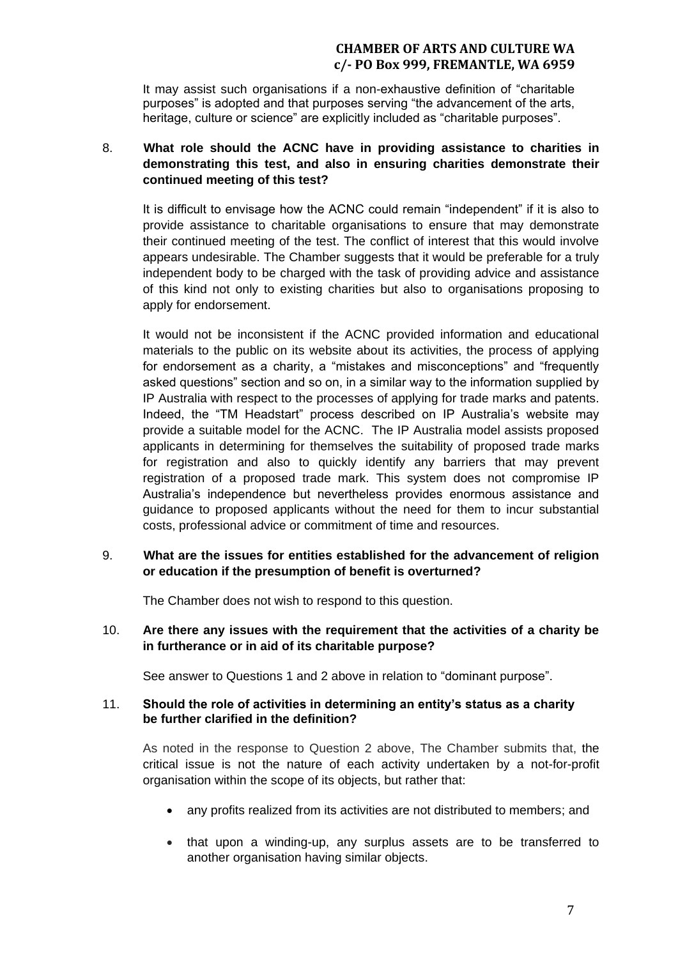It may assist such organisations if a non-exhaustive definition of "charitable purposes" is adopted and that purposes serving "the advancement of the arts, heritage, culture or science" are explicitly included as "charitable purposes".

# 8. **What role should the ACNC have in providing assistance to charities in demonstrating this test, and also in ensuring charities demonstrate their continued meeting of this test?**

It is difficult to envisage how the ACNC could remain "independent" if it is also to provide assistance to charitable organisations to ensure that may demonstrate their continued meeting of the test. The conflict of interest that this would involve appears undesirable. The Chamber suggests that it would be preferable for a truly independent body to be charged with the task of providing advice and assistance of this kind not only to existing charities but also to organisations proposing to apply for endorsement.

It would not be inconsistent if the ACNC provided information and educational materials to the public on its website about its activities, the process of applying for endorsement as a charity, a "mistakes and misconceptions" and "frequently asked questions" section and so on, in a similar way to the information supplied by IP Australia with respect to the processes of applying for trade marks and patents. Indeed, the "TM Headstart" process described on IP Australia's website may provide a suitable model for the ACNC. The IP Australia model assists proposed applicants in determining for themselves the suitability of proposed trade marks for registration and also to quickly identify any barriers that may prevent registration of a proposed trade mark. This system does not compromise IP Australia's independence but nevertheless provides enormous assistance and guidance to proposed applicants without the need for them to incur substantial costs, professional advice or commitment of time and resources.

# 9. **What are the issues for entities established for the advancement of religion or education if the presumption of benefit is overturned?**

The Chamber does not wish to respond to this question.

# 10. **Are there any issues with the requirement that the activities of a charity be in furtherance or in aid of its charitable purpose?**

See answer to Questions 1 and 2 above in relation to "dominant purpose".

### 11. **Should the role of activities in determining an entity's status as a charity be further clarified in the definition?**

As noted in the response to Question 2 above, The Chamber submits that, the critical issue is not the nature of each activity undertaken by a not-for-profit organisation within the scope of its objects, but rather that:

- any profits realized from its activities are not distributed to members; and
- that upon a winding-up, any surplus assets are to be transferred to another organisation having similar objects.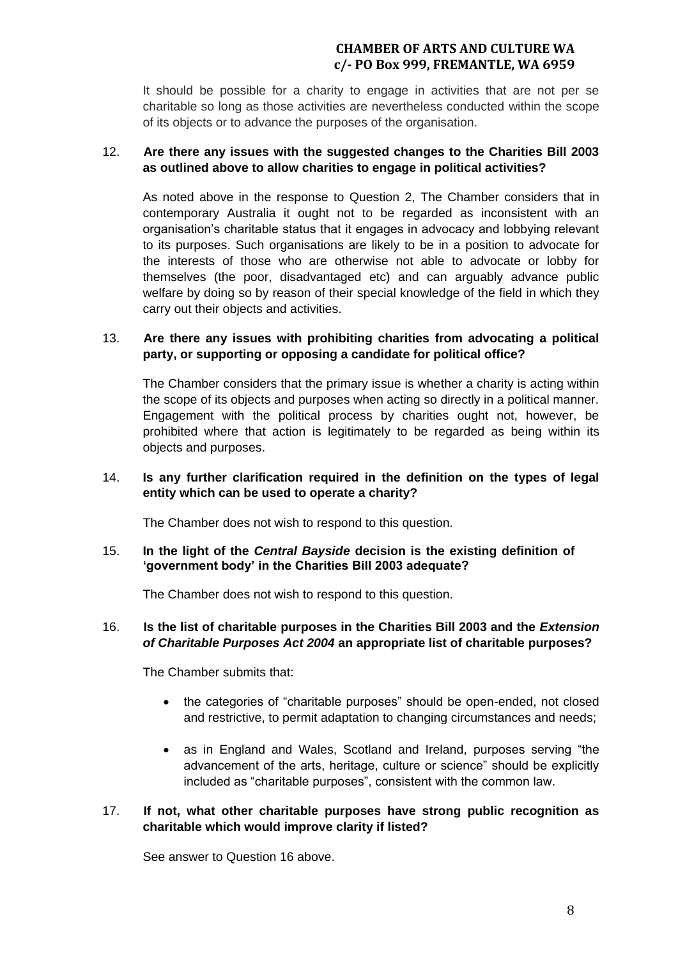It should be possible for a charity to engage in activities that are not per se charitable so long as those activities are nevertheless conducted within the scope of its objects or to advance the purposes of the organisation.

### 12. **Are there any issues with the suggested changes to the Charities Bill 2003 as outlined above to allow charities to engage in political activities?**

As noted above in the response to Question 2, The Chamber considers that in contemporary Australia it ought not to be regarded as inconsistent with an organisation's charitable status that it engages in advocacy and lobbying relevant to its purposes. Such organisations are likely to be in a position to advocate for the interests of those who are otherwise not able to advocate or lobby for themselves (the poor, disadvantaged etc) and can arguably advance public welfare by doing so by reason of their special knowledge of the field in which they carry out their objects and activities.

### 13. **Are there any issues with prohibiting charities from advocating a political party, or supporting or opposing a candidate for political office?**

The Chamber considers that the primary issue is whether a charity is acting within the scope of its objects and purposes when acting so directly in a political manner. Engagement with the political process by charities ought not, however, be prohibited where that action is legitimately to be regarded as being within its objects and purposes.

### 14. **Is any further clarification required in the definition on the types of legal entity which can be used to operate a charity?**

The Chamber does not wish to respond to this question.

#### 15. **In the light of the** *Central Bayside* **decision is the existing definition of 'government body' in the Charities Bill 2003 adequate?**

The Chamber does not wish to respond to this question.

### 16. **Is the list of charitable purposes in the Charities Bill 2003 and the** *Extension of Charitable Purposes Act 2004* **an appropriate list of charitable purposes?**

The Chamber submits that:

- the categories of "charitable purposes" should be open-ended, not closed and restrictive, to permit adaptation to changing circumstances and needs;
- as in England and Wales, Scotland and Ireland, purposes serving "the advancement of the arts, heritage, culture or science" should be explicitly included as "charitable purposes", consistent with the common law.

# 17. **If not, what other charitable purposes have strong public recognition as charitable which would improve clarity if listed?**

See answer to Question 16 above.